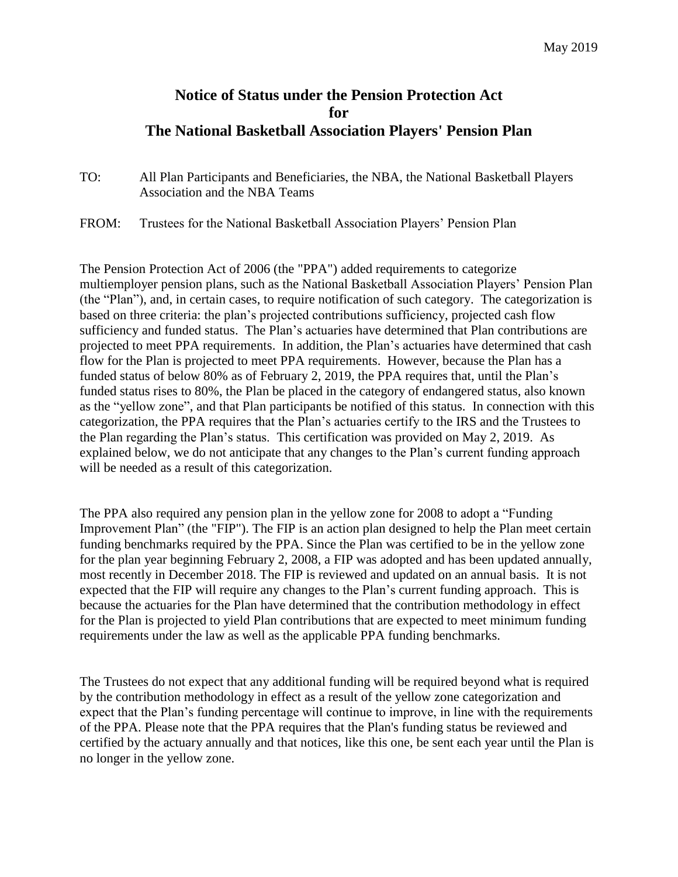## **Notice of Status under the Pension Protection Act for The National Basketball Association Players' Pension Plan**

- TO: All Plan Participants and Beneficiaries, the NBA, the National Basketball Players Association and the NBA Teams
- FROM: Trustees for the National Basketball Association Players' Pension Plan

The Pension Protection Act of 2006 (the "PPA") added requirements to categorize multiemployer pension plans, such as the National Basketball Association Players' Pension Plan (the "Plan"), and, in certain cases, to require notification of such category. The categorization is based on three criteria: the plan's projected contributions sufficiency, projected cash flow sufficiency and funded status. The Plan's actuaries have determined that Plan contributions are projected to meet PPA requirements. In addition, the Plan's actuaries have determined that cash flow for the Plan is projected to meet PPA requirements. However, because the Plan has a funded status of below 80% as of February 2, 2019, the PPA requires that, until the Plan's funded status rises to 80%, the Plan be placed in the category of endangered status, also known as the "yellow zone", and that Plan participants be notified of this status. In connection with this categorization, the PPA requires that the Plan's actuaries certify to the IRS and the Trustees to the Plan regarding the Plan's status. This certification was provided on May 2, 2019. As explained below, we do not anticipate that any changes to the Plan's current funding approach will be needed as a result of this categorization.

The PPA also required any pension plan in the yellow zone for 2008 to adopt a "Funding Improvement Plan" (the "FIP"). The FIP is an action plan designed to help the Plan meet certain funding benchmarks required by the PPA. Since the Plan was certified to be in the yellow zone for the plan year beginning February 2, 2008, a FIP was adopted and has been updated annually, most recently in December 2018. The FIP is reviewed and updated on an annual basis. It is not expected that the FIP will require any changes to the Plan's current funding approach. This is because the actuaries for the Plan have determined that the contribution methodology in effect for the Plan is projected to yield Plan contributions that are expected to meet minimum funding requirements under the law as well as the applicable PPA funding benchmarks.

The Trustees do not expect that any additional funding will be required beyond what is required by the contribution methodology in effect as a result of the yellow zone categorization and expect that the Plan's funding percentage will continue to improve, in line with the requirements of the PPA. Please note that the PPA requires that the Plan's funding status be reviewed and certified by the actuary annually and that notices, like this one, be sent each year until the Plan is no longer in the yellow zone.